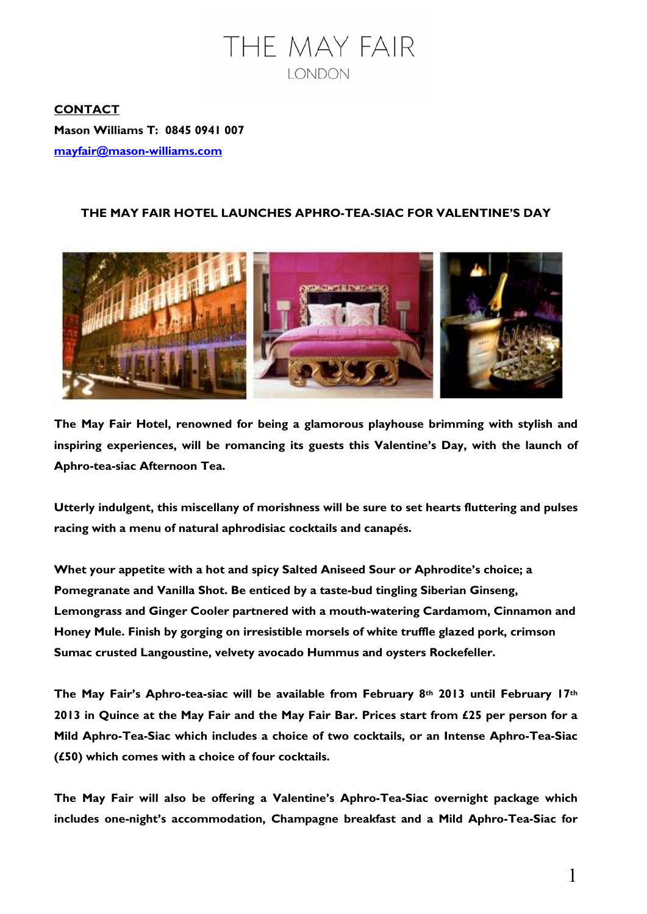

**CONTACT Mason Williams T: 0845 0941 007 mayfair@mason-williams.com** 

# **THE MAY FAIR HOTEL LAUNCHES APHRO-TEA-SIAC FOR VALENTINE'S DAY**



**The May Fair Hotel, renowned for being a glamorous playhouse brimming with stylish and inspiring experiences, will be romancing its guests this Valentine's Day, with the launch of Aphro-tea-siac Afternoon Tea.** 

**Utterly indulgent, this miscellany of morishness will be sure to set hearts fluttering and pulses racing with a menu of natural aphrodisiac cocktails and canapés.** 

**Whet your appetite with a hot and spicy Salted Aniseed Sour or Aphrodite's choice; a Pomegranate and Vanilla Shot. Be enticed by a taste-bud tingling Siberian Ginseng, Lemongrass and Ginger Cooler partnered with a mouth-watering Cardamom, Cinnamon and Honey Mule. Finish by gorging on irresistible morsels of white truffle glazed pork, crimson Sumac crusted Langoustine, velvety avocado Hummus and oysters Rockefeller.** 

**The May Fair's Aphro-tea-siac will be available from February 8th 2013 until February 17th 2013 in Quince at the May Fair and the May Fair Bar. Prices start from £25 per person for a Mild Aphro-Tea-Siac which includes a choice of two cocktails, or an Intense Aphro-Tea-Siac (£50) which comes with a choice of four cocktails.** 

**The May Fair will also be offering a Valentine's Aphro-Tea-Siac overnight package which includes one-night's accommodation, Champagne breakfast and a Mild Aphro-Tea-Siac for**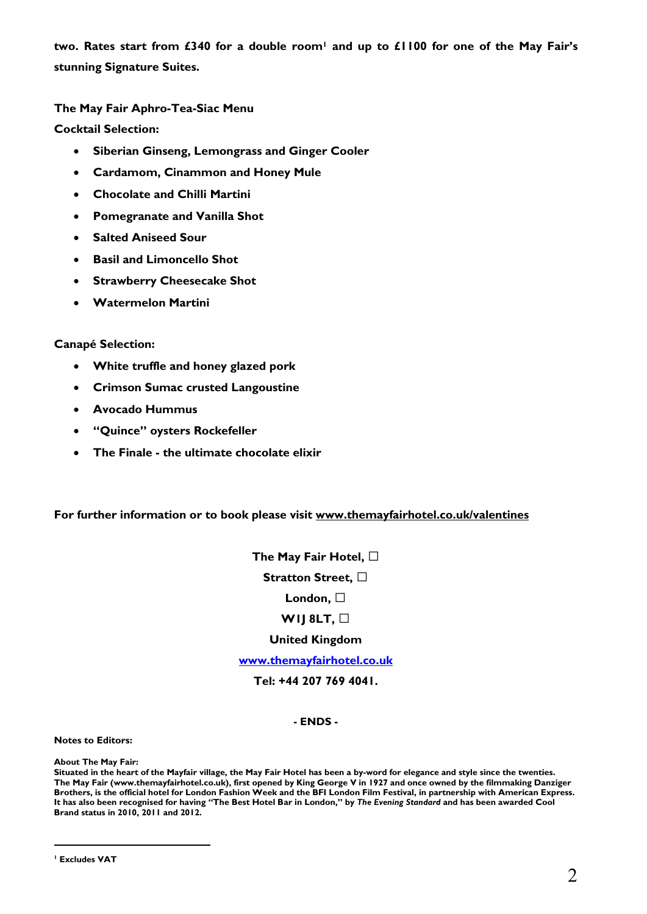**two. Rates start from £340 for a double room1 and up to £1100 for one of the May Fair's stunning Signature Suites.** 

**The May Fair Aphro-Tea-Siac Menu** 

**Cocktail Selection:** 

- **Siberian Ginseng, Lemongrass and Ginger Cooler**
- **Cardamom, Cinammon and Honey Mule**
- **Chocolate and Chilli Martini**
- **Pomegranate and Vanilla Shot**
- **Salted Aniseed Sour**
- **Basil and Limoncello Shot**
- **Strawberry Cheesecake Shot**
- **Watermelon Martini**

## **Canapé Selection:**

- **White truffle and honey glazed pork**
- **Crimson Sumac crusted Langoustine**
- **Avocado Hummus**
- **"Quince" oysters Rockefeller**
- **The Finale the ultimate chocolate elixir**

## **For further information or to book please visit www.themayfairhotel.co.uk/valentines**

**The May Fair Hotel, G Stratton Street, G**

## **London, G**

## **W1J 8LT, G**

#### **United Kingdom**

**www.themayfairhotel.co.uk**

#### **Tel: +44 207 769 4041.**

#### **- ENDS -**

#### **Notes to Editors:**

**About The May Fair:** 

 $\overline{a}$ 

**Situated in the heart of the Mayfair village, the May Fair Hotel has been a by-word for elegance and style since the twenties. The May Fair (www.themayfairhotel.co.uk), first opened by King George V in 1927 and once owned by the filmmaking Danziger Brothers, is the official hotel for London Fashion Week and the BFI London Film Festival, in partnership with American Express. It has also been recognised for having "The Best Hotel Bar in London," by** *The Evening Standard* **and has been awarded Cool Brand status in 2010, 2011 and 2012.** 

**<sup>1</sup> Excludes VAT**